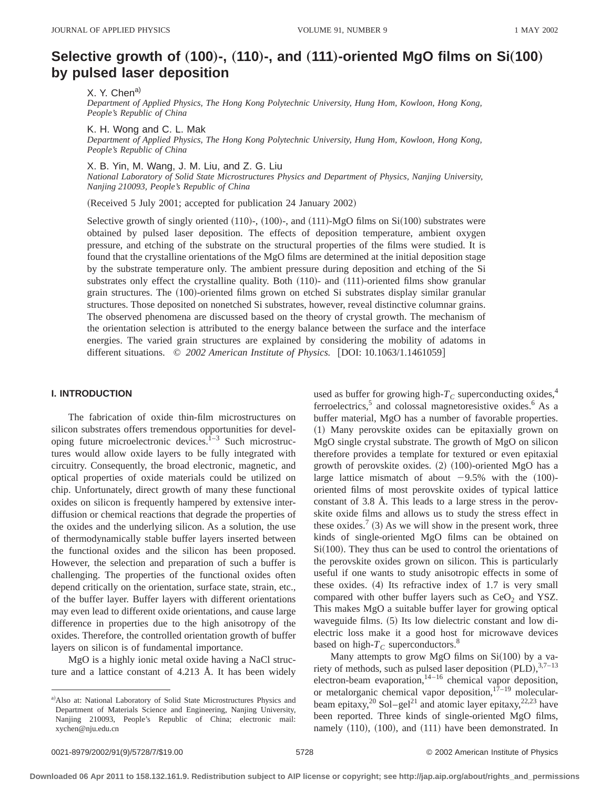# **Selective growth of (100)-, (110)-, and (111)-oriented MgO films on Si(100) by pulsed laser deposition**

X. Y. Chena)

*Department of Applied Physics, The Hong Kong Polytechnic University, Hung Hom, Kowloon, Hong Kong, People's Republic of China*

K. H. Wong and C. L. Mak

*Department of Applied Physics, The Hong Kong Polytechnic University, Hung Hom, Kowloon, Hong Kong, People's Republic of China*

X. B. Yin, M. Wang, J. M. Liu, and Z. G. Liu

*National Laboratory of Solid State Microstructures Physics and Department of Physics, Nanjing University, Nanjing 210093, People's Republic of China*

(Received 5 July 2001; accepted for publication 24 January 2002)

Selective growth of singly oriented  $(110)$ -,  $(100)$ -, and  $(111)$ -MgO films on Si $(100)$  substrates were obtained by pulsed laser deposition. The effects of deposition temperature, ambient oxygen pressure, and etching of the substrate on the structural properties of the films were studied. It is found that the crystalline orientations of the MgO films are determined at the initial deposition stage by the substrate temperature only. The ambient pressure during deposition and etching of the Si substrates only effect the crystalline quality. Both  $(110)$ - and  $(111)$ -oriented films show granular grain structures. The (100)-oriented films grown on etched Si substrates display similar granular structures. Those deposited on nonetched Si substrates, however, reveal distinctive columnar grains. The observed phenomena are discussed based on the theory of crystal growth. The mechanism of the orientation selection is attributed to the energy balance between the surface and the interface energies. The varied grain structures are explained by considering the mobility of adatoms in different situations.  $\degree$  2002 American Institute of Physics. [DOI: 10.1063/1.1461059]

# **I. INTRODUCTION**

The fabrication of oxide thin-film microstructures on silicon substrates offers tremendous opportunities for developing future microelectronic devices.<sup> $1-3$ </sup> Such microstructures would allow oxide layers to be fully integrated with circuitry. Consequently, the broad electronic, magnetic, and optical properties of oxide materials could be utilized on chip. Unfortunately, direct growth of many these functional oxides on silicon is frequently hampered by extensive interdiffusion or chemical reactions that degrade the properties of the oxides and the underlying silicon. As a solution, the use of thermodynamically stable buffer layers inserted between the functional oxides and the silicon has been proposed. However, the selection and preparation of such a buffer is challenging. The properties of the functional oxides often depend critically on the orientation, surface state, strain, etc., of the buffer layer. Buffer layers with different orientations may even lead to different oxide orientations, and cause large difference in properties due to the high anisotropy of the oxides. Therefore, the controlled orientation growth of buffer layers on silicon is of fundamental importance.

MgO is a highly ionic metal oxide having a NaCl structure and a lattice constant of 4.213 Å. It has been widely used as buffer for growing high- $T_C$  superconducting oxides,<sup>4</sup> ferroelectrics,<sup>5</sup> and colossal magnetoresistive oxides.<sup>6</sup> As a buffer material, MgO has a number of favorable properties. ~1! Many perovskite oxides can be epitaxially grown on MgO single crystal substrate. The growth of MgO on silicon therefore provides a template for textured or even epitaxial growth of perovskite oxides.  $(2)$   $(100)$ -oriented MgO has a large lattice mismatch of about  $-9.5%$  with the  $(100)$ oriented films of most perovskite oxides of typical lattice constant of 3.8 Å. This leads to a large stress in the perovskite oxide films and allows us to study the stress effect in these oxides.<sup>7</sup> (3) As we will show in the present work, three kinds of single-oriented MgO films can be obtained on  $Si(100)$ . They thus can be used to control the orientations of the perovskite oxides grown on silicon. This is particularly useful if one wants to study anisotropic effects in some of these oxides.  $(4)$  Its refractive index of 1.7 is very small compared with other buffer layers such as  $CeO<sub>2</sub>$  and YSZ. This makes MgO a suitable buffer layer for growing optical waveguide films. (5) Its low dielectric constant and low dielectric loss make it a good host for microwave devices based on high- $T_C$  superconductors.<sup>8</sup>

Many attempts to grow MgO films on  $Si(100)$  by a variety of methods, such as pulsed laser deposition  $(PLD)$ ,  $3.7-13$ electron-beam evaporation, $1^{4-16}$  chemical vapor deposition, or metalorganic chemical vapor deposition, $17-19$  molecularbeam epitaxy,<sup>20</sup> Sol–gel<sup>21</sup> and atomic layer epitaxy,<sup>22,23</sup> have been reported. Three kinds of single-oriented MgO films, namely  $(110)$ ,  $(100)$ , and  $(111)$  have been demonstrated. In

a) Also at: National Laboratory of Solid State Microstructures Physics and Department of Materials Science and Engineering, Nanjing University, Nanjing 210093, People's Republic of China; electronic mail: xychen@nju.edu.cn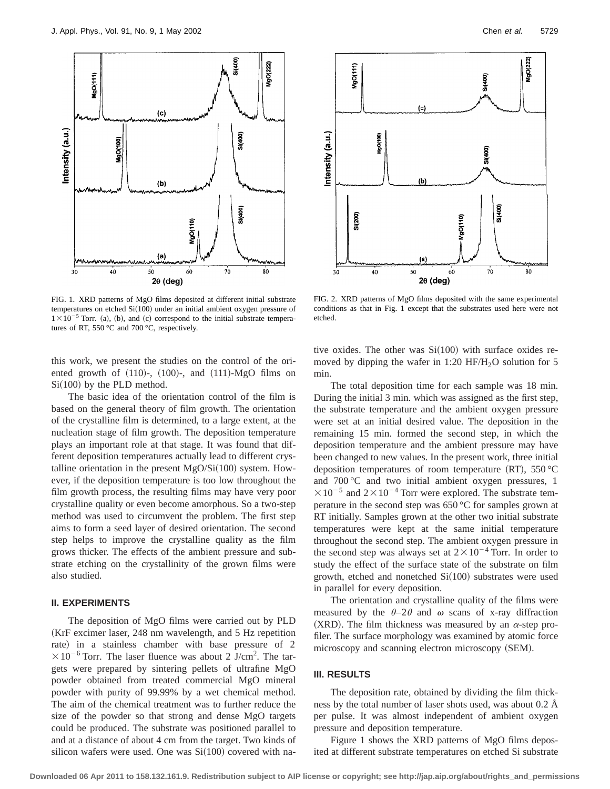

FIG. 1. XRD patterns of MgO films deposited at different initial substrate temperatures on etched  $Si(100)$  under an initial ambient oxygen pressure of  $1 \times 10^{-5}$  Torr. (a), (b), and (c) correspond to the initial substrate temperatures of RT, 550 °C and 700 °C, respectively.

this work, we present the studies on the control of the oriented growth of  $(110)$ -,  $(100)$ -, and  $(111)$ -MgO films on  $Si(100)$  by the PLD method.

The basic idea of the orientation control of the film is based on the general theory of film growth. The orientation of the crystalline film is determined, to a large extent, at the nucleation stage of film growth. The deposition temperature plays an important role at that stage. It was found that different deposition temperatures actually lead to different crystalline orientation in the present  $MgO/Si(100)$  system. However, if the deposition temperature is too low throughout the film growth process, the resulting films may have very poor crystalline quality or even become amorphous. So a two-step method was used to circumvent the problem. The first step aims to form a seed layer of desired orientation. The second step helps to improve the crystalline quality as the film grows thicker. The effects of the ambient pressure and substrate etching on the crystallinity of the grown films were also studied.

# **II. EXPERIMENTS**

The deposition of MgO films were carried out by PLD (KrF excimer laser, 248 nm wavelength, and 5 Hz repetition rate) in a stainless chamber with base pressure of 2  $\times 10^{-6}$  Torr. The laser fluence was about 2 J/cm<sup>2</sup>. The targets were prepared by sintering pellets of ultrafine MgO powder obtained from treated commercial MgO mineral powder with purity of 99.99% by a wet chemical method. The aim of the chemical treatment was to further reduce the size of the powder so that strong and dense MgO targets could be produced. The substrate was positioned parallel to and at a distance of about 4 cm from the target. Two kinds of silicon wafers were used. One was  $Si(100)$  covered with na-



FIG. 2. XRD patterns of MgO films deposited with the same experimental conditions as that in Fig. 1 except that the substrates used here were not etched.

tive oxides. The other was  $Si(100)$  with surface oxides removed by dipping the wafer in 1:20  $HF/H_2O$  solution for 5 min.

The total deposition time for each sample was 18 min. During the initial 3 min. which was assigned as the first step, the substrate temperature and the ambient oxygen pressure were set at an initial desired value. The deposition in the remaining 15 min. formed the second step, in which the deposition temperature and the ambient pressure may have been changed to new values. In the present work, three initial deposition temperatures of room temperature (RT),  $550 \degree C$ and 700 °C and two initial ambient oxygen pressures, 1  $\times 10^{-5}$  and  $2\times 10^{-4}$  Torr were explored. The substrate temperature in the second step was 650 °C for samples grown at RT initially. Samples grown at the other two initial substrate temperatures were kept at the same initial temperature throughout the second step. The ambient oxygen pressure in the second step was always set at  $2 \times 10^{-4}$  Torr. In order to study the effect of the surface state of the substrate on film growth, etched and nonetched  $Si(100)$  substrates were used in parallel for every deposition.

The orientation and crystalline quality of the films were measured by the  $\theta$ -2 $\theta$  and  $\omega$  scans of x-ray diffraction (XRD). The film thickness was measured by an  $\alpha$ -step profiler. The surface morphology was examined by atomic force microscopy and scanning electron microscopy (SEM).

# **III. RESULTS**

The deposition rate, obtained by dividing the film thickness by the total number of laser shots used, was about 0.2 Å per pulse. It was almost independent of ambient oxygen pressure and deposition temperature.

Figure 1 shows the XRD patterns of MgO films deposited at different substrate temperatures on etched Si substrate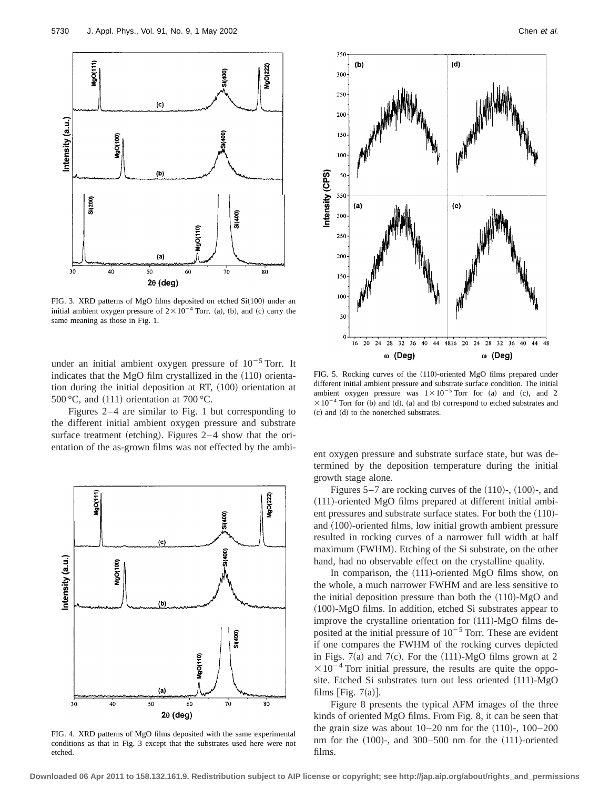

FIG. 3. XRD patterns of MgO films deposited on etched  $Si(100)$  under an initial ambient oxygen pressure of  $2 \times 10^{-4}$  Torr. (a), (b), and (c) carry the same meaning as those in Fig. 1.

under an initial ambient oxygen pressure of  $10^{-5}$  Torr. It indicates that the MgO film crystallized in the  $(110)$  orientation during the initial deposition at RT,  $(100)$  orientation at 500 °C, and  $(111)$  orientation at 700 °C.

Figures 2–4 are similar to Fig. 1 but corresponding to the different initial ambient oxygen pressure and substrate surface treatment (etching). Figures  $2-4$  show that the orientation of the as-grown films was not effected by the ambi- ent oxygen pressure and substrate surface state, but was de-



FIG. 4. XRD patterns of MgO films deposited with the same experimental conditions as that in Fig. 3 except that the substrates used here were not etched.



FIG. 5. Rocking curves of the (110)-oriented MgO films prepared under different initial ambient pressure and substrate surface condition. The initial ambient oxygen pressure was  $1 \times 10^{-5}$  Torr for (a) and (c), and 2  $\times 10^{-4}$  Torr for (b) and (d). (a) and (b) correspond to etched substrates and  $(c)$  and  $(d)$  to the nonetched substrates.

termined by the deposition temperature during the initial growth stage alone.

Figures  $5-7$  are rocking curves of the  $(110)$ -,  $(100)$ -, and  $(111)$ -oriented MgO films prepared at different initial ambient pressures and substrate surface states. For both the  $(110)$ and  $(100)$ -oriented films, low initial growth ambient pressure resulted in rocking curves of a narrower full width at half maximum (FWHM). Etching of the Si substrate, on the other hand, had no observable effect on the crystalline quality.

In comparison, the  $(111)$ -oriented MgO films show, on the whole, a much narrower FWHM and are less sensitive to the initial deposition pressure than both the  $(110)$ -MgO and  $(100)$ -MgO films. In addition, etched Si substrates appear to improve the crystalline orientation for  $(111)$ -MgO films deposited at the initial pressure of  $10^{-5}$  Torr. These are evident if one compares the FWHM of the rocking curves depicted in Figs. 7(a) and 7(c). For the  $(111)$ -MgO films grown at 2  $\times 10^{-4}$  Torr initial pressure, the results are quite the opposite. Etched Si substrates turn out less oriented  $(111)$ -MgO films [Fig.  $7(a)$ ].

Figure 8 presents the typical AFM images of the three kinds of oriented MgO films. From Fig. 8, it can be seen that the grain size was about  $10-20$  nm for the  $(110)$ -,  $100-200$ nm for the  $(100)$ -, and 300–500 nm for the  $(111)$ -oriented films.

**Downloaded 06 Apr 2011 to 158.132.161.9. Redistribution subject to AIP license or copyright; see http://jap.aip.org/about/rights\_and\_permissions**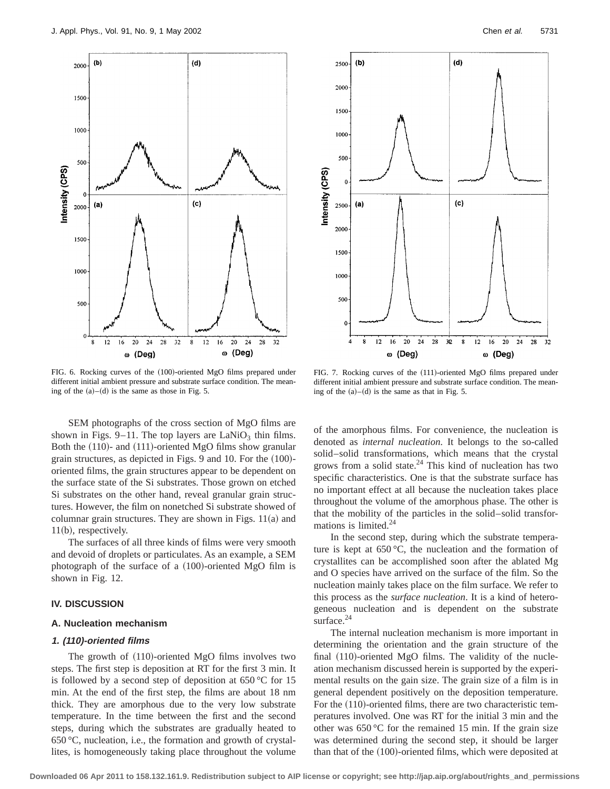32

o (Deg)

 $(d)$ 

 $(c)$ 



4 8  $12$ ω (Deg) FIG. 6. Rocking curves of the (100)-oriented MgO films prepared under

different initial ambient pressure and substrate surface condition. The meaning of the  $(a)$ – $(d)$  is the same as those in Fig. 5.

FIG. 7. Rocking curves of the (111)-oriented MgO films prepared under different initial ambient pressure and substrate surface condition. The meaning of the  $(a)$ – $(d)$  is the same as that in Fig. 5.

 $16$ 20 24  ${\bf 28}$ 30  $\bf 8$  $\overline{12}$  $16\,$  $20$  $24$ 28

ω (Deg)

 $(b)$ 

2500

2000

1500

1000

500

 $\mathfrak{o}$ 

2500

2000

1500

1000

500

 $(a)$ 

Intensity (CPS)

SEM photographs of the cross section of MgO films are shown in Figs. 9–11. The top layers are  $LaNiO<sub>3</sub>$  thin films. Both the  $(110)$ - and  $(111)$ -oriented MgO films show granular grain structures, as depicted in Figs.  $9$  and 10. For the  $(100)$ oriented films, the grain structures appear to be dependent on the surface state of the Si substrates. Those grown on etched Si substrates on the other hand, reveal granular grain structures. However, the film on nonetched Si substrate showed of columnar grain structures. They are shown in Figs.  $11(a)$  and  $11(b)$ , respectively.

The surfaces of all three kinds of films were very smooth and devoid of droplets or particulates. As an example, a SEM photograph of the surface of a  $(100)$ -oriented MgO film is shown in Fig. 12.

## **IV. DISCUSSION**

### **A. Nucleation mechanism**

#### **1. (110)-oriented films**

The growth of  $(110)$ -oriented MgO films involves two steps. The first step is deposition at RT for the first 3 min. It is followed by a second step of deposition at  $650^{\circ}$ C for 15 min. At the end of the first step, the films are about 18 nm thick. They are amorphous due to the very low substrate temperature. In the time between the first and the second steps, during which the substrates are gradually heated to 650 °C, nucleation, i.e., the formation and growth of crystallites, is homogeneously taking place throughout the volume of the amorphous films. For convenience, the nucleation is denoted as *internal nucleation*. It belongs to the so-called solid–solid transformations, which means that the crystal grows from a solid state. $24$  This kind of nucleation has two specific characteristics. One is that the substrate surface has no important effect at all because the nucleation takes place throughout the volume of the amorphous phase. The other is that the mobility of the particles in the solid–solid transformations is limited.<sup>24</sup>

In the second step, during which the substrate temperature is kept at 650 °C, the nucleation and the formation of crystallites can be accomplished soon after the ablated Mg and O species have arrived on the surface of the film. So the nucleation mainly takes place on the film surface. We refer to this process as the *surface nucleation*. It is a kind of heterogeneous nucleation and is dependent on the substrate surface.<sup>24</sup>

The internal nucleation mechanism is more important in determining the orientation and the grain structure of the final  $(110)$ -oriented MgO films. The validity of the nucleation mechanism discussed herein is supported by the experimental results on the gain size. The grain size of a film is in general dependent positively on the deposition temperature. For the  $(110)$ -oriented films, there are two characteristic temperatures involved. One was RT for the initial 3 min and the other was 650 °C for the remained 15 min. If the grain size was determined during the second step, it should be larger than that of the  $(100)$ -oriented films, which were deposited at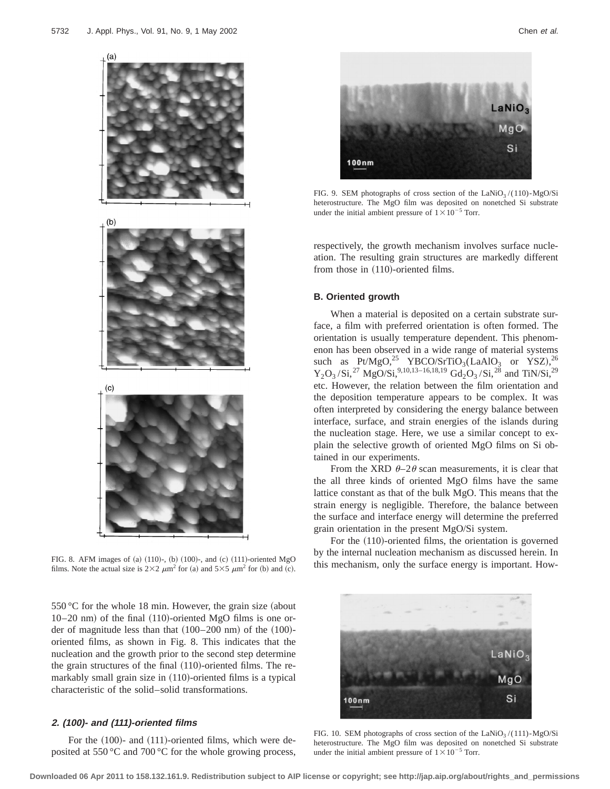

films. Note the actual size is  $2\times2 \ \mu m^2$  for (a) and  $5\times5 \ \mu m^2$  for (b) and (c).

 $550 °C$  for the whole 18 min. However, the grain size (about  $10-20$  nm) of the final  $(110)$ -oriented MgO films is one order of magnitude less than that  $(100–200 \text{ nm})$  of the  $(100)$ oriented films, as shown in Fig. 8. This indicates that the nucleation and the growth prior to the second step determine the grain structures of the final  $(110)$ -oriented films. The remarkably small grain size in  $(110)$ -oriented films is a typical characteristic of the solid–solid transformations.

# **2. (100)- and (111)-oriented films**

For the  $(100)$ - and  $(111)$ -oriented films, which were deposited at 550 °C and 700 °C for the whole growing process,



FIG. 9. SEM photographs of cross section of the LaNiO<sub>3</sub>/(110)-MgO/Si heterostructure. The MgO film was deposited on nonetched Si substrate under the initial ambient pressure of  $1 \times 10^{-5}$  Torr.

respectively, the growth mechanism involves surface nucleation. The resulting grain structures are markedly different from those in  $(110)$ -oriented films.

## **B. Oriented growth**

When a material is deposited on a certain substrate surface, a film with preferred orientation is often formed. The orientation is usually temperature dependent. This phenomenon has been observed in a wide range of material systems such as  $Pt/MgO<sup>25</sup>$  YBCO/SrTiO<sub>3</sub>(LaAlO<sub>3</sub> or YSZ),<sup>26</sup>  $Y_2O_3/Si$ ,<sup>27</sup> MgO/Si,<sup>9,10,13–16,18,19</sup> Gd<sub>2</sub>O<sub>3</sub>/Si,<sup>28</sup> and TiN/Si,<sup>29</sup> etc. However, the relation between the film orientation and the deposition temperature appears to be complex. It was often interpreted by considering the energy balance between interface, surface, and strain energies of the islands during the nucleation stage. Here, we use a similar concept to explain the selective growth of oriented MgO films on Si obtained in our experiments.

From the XRD  $\theta$ –2 $\theta$  scan measurements, it is clear that the all three kinds of oriented MgO films have the same lattice constant as that of the bulk MgO. This means that the strain energy is negligible. Therefore, the balance between the surface and interface energy will determine the preferred grain orientation in the present MgO/Si system.

For the  $(110)$ -oriented films, the orientation is governed by the internal nucleation mechanism as discussed herein. In FIG. 8. AFM images of (a) (110)-, (b) (100)-, and (c) (111)-oriented MgO<br>films. Note the actual size is  $2\times 2$ ,  $m^2$  for (a) and  $5\times 5$ ,  $m^2$  for (b) and (c)  $m^2$  for (h) and (c)



FIG. 10. SEM photographs of cross section of the  $\text{LaNiO}_3 / (111)$ -MgO/Si heterostructure. The MgO film was deposited on nonetched Si substrate under the initial ambient pressure of  $1 \times 10^{-5}$  Torr.

**Downloaded 06 Apr 2011 to 158.132.161.9. Redistribution subject to AIP license or copyright; see http://jap.aip.org/about/rights\_and\_permissions**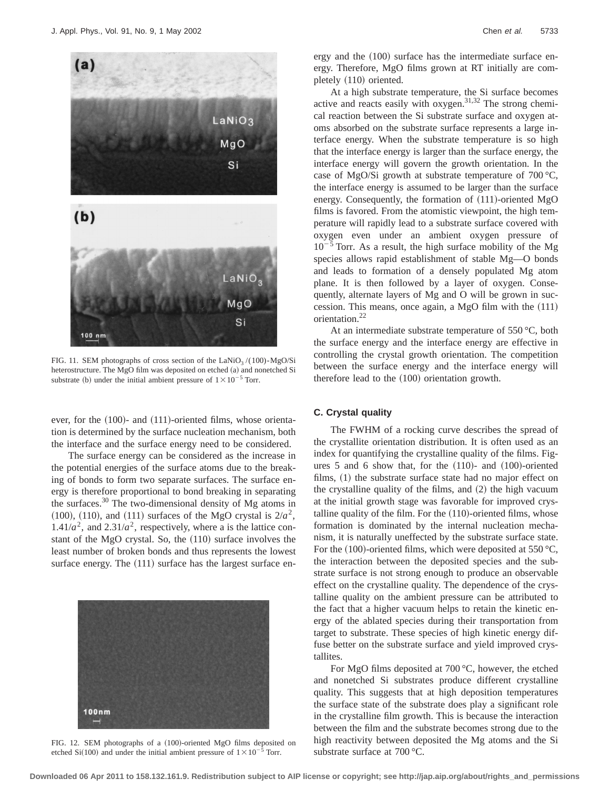

FIG. 11. SEM photographs of cross section of the  $\text{LaNiO}_3 / (100) \text{-} \text{MgO/Si}$ heterostructure. The MgO film was deposited on etched (a) and nonetched Si substrate (b) under the initial ambient pressure of  $1 \times 10^{-5}$  Torr.

ever, for the  $(100)$ - and  $(111)$ -oriented films, whose orientation is determined by the surface nucleation mechanism, both the interface and the surface energy need to be considered.

The surface energy can be considered as the increase in the potential energies of the surface atoms due to the breaking of bonds to form two separate surfaces. The surface energy is therefore proportional to bond breaking in separating the surfaces. $30$  The two-dimensional density of Mg atoms in  $(100)$ ,  $(110)$ , and  $(111)$  surfaces of the MgO crystal is  $2/a^2$ ,  $1.41/a^2$ , and  $2.31/a^2$ , respectively, where a is the lattice constant of the MgO crystal. So, the  $(110)$  surface involves the least number of broken bonds and thus represents the lowest surface energy. The  $(111)$  surface has the largest surface en-



FIG. 12. SEM photographs of a (100)-oriented MgO films deposited on etched Si(100) and under the initial ambient pressure of  $1\times10^{-5}$  Torr.

ergy and the  $(100)$  surface has the intermediate surface energy. Therefore, MgO films grown at RT initially are completely  $(110)$  oriented.

At a high substrate temperature, the Si surface becomes active and reacts easily with oxygen. $31,32$  The strong chemical reaction between the Si substrate surface and oxygen atoms absorbed on the substrate surface represents a large interface energy. When the substrate temperature is so high that the interface energy is larger than the surface energy, the interface energy will govern the growth orientation. In the case of MgO/Si growth at substrate temperature of 700 °C, the interface energy is assumed to be larger than the surface energy. Consequently, the formation of  $(111)$ -oriented MgO films is favored. From the atomistic viewpoint, the high temperature will rapidly lead to a substrate surface covered with oxygen even under an ambient oxygen pressure of  $10^{-5}$  Torr. As a result, the high surface mobility of the Mg species allows rapid establishment of stable Mg—O bonds and leads to formation of a densely populated Mg atom plane. It is then followed by a layer of oxygen. Consequently, alternate layers of Mg and O will be grown in succession. This means, once again, a MgO film with the  $(111)$ orientation.22

At an intermediate substrate temperature of  $550^{\circ}$ C, both the surface energy and the interface energy are effective in controlling the crystal growth orientation. The competition between the surface energy and the interface energy will therefore lead to the  $(100)$  orientation growth.

## **C. Crystal quality**

The FWHM of a rocking curve describes the spread of the crystallite orientation distribution. It is often used as an index for quantifying the crystalline quality of the films. Figures  $5$  and  $6$  show that, for the  $(110)$ - and  $(100)$ -oriented films,  $(1)$  the substrate surface state had no major effect on the crystalline quality of the films, and  $(2)$  the high vacuum at the initial growth stage was favorable for improved crystalline quality of the film. For the  $(110)$ -oriented films, whose formation is dominated by the internal nucleation mechanism, it is naturally uneffected by the substrate surface state. For the  $(100)$ -oriented films, which were deposited at 550 °C, the interaction between the deposited species and the substrate surface is not strong enough to produce an observable effect on the crystalline quality. The dependence of the crystalline quality on the ambient pressure can be attributed to the fact that a higher vacuum helps to retain the kinetic energy of the ablated species during their transportation from target to substrate. These species of high kinetic energy diffuse better on the substrate surface and yield improved crystallites.

For MgO films deposited at 700 °C, however, the etched and nonetched Si substrates produce different crystalline quality. This suggests that at high deposition temperatures the surface state of the substrate does play a significant role in the crystalline film growth. This is because the interaction between the film and the substrate becomes strong due to the high reactivity between deposited the Mg atoms and the Si substrate surface at 700 °C.

**Downloaded 06 Apr 2011 to 158.132.161.9. Redistribution subject to AIP license or copyright; see http://jap.aip.org/about/rights\_and\_permissions**